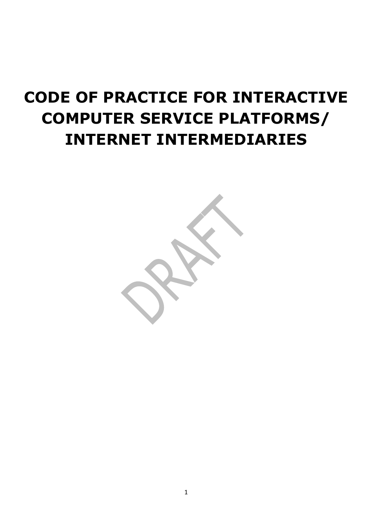# **CODE OF PRACTICE FOR INTERACTIVE COMPUTER SERVICE PLATFORMS/ INTERNET INTERMEDIARIES**

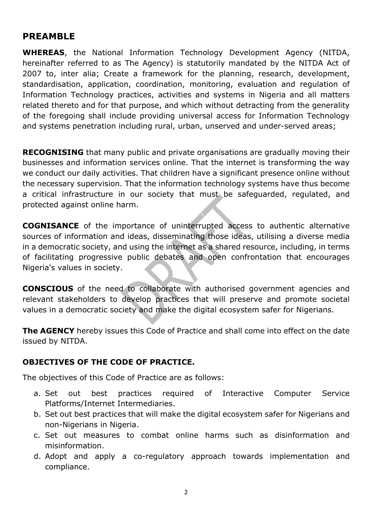# **PREAMBLE**

**WHEREAS**, the National Information Technology Development Agency (NITDA, hereinafter referred to as The Agency) is statutorily mandated by the NITDA Act of 2007 to, inter alia; Create a framework for the planning, research, development, standardisation, application, coordination, monitoring, evaluation and regulation of Information Technology practices, activities and systems in Nigeria and all matters related thereto and for that purpose, and which without detracting from the generality of the foregoing shall include providing universal access for Information Technology and systems penetration including rural, urban, unserved and under-served areas;

**RECOGNISING** that many public and private organisations are gradually moving their businesses and information services online. That the internet is transforming the way we conduct our daily activities. That children have a significant presence online without the necessary supervision. That the information technology systems have thus become a critical infrastructure in our society that must be safeguarded, regulated, and protected against online harm.

**COGNISANCE** of the importance of uninterrupted access to authentic alternative sources of information and ideas, disseminating those ideas, utilising a diverse media in a democratic society, and using the internet as a shared resource, including, in terms of facilitating progressive public debates and open confrontation that encourages Nigeria's values in society.

**CONSCIOUS** of the need to collaborate with authorised government agencies and relevant stakeholders to develop practices that will preserve and promote societal values in a democratic society and make the digital ecosystem safer for Nigerians.

**The AGENCY** hereby issues this Code of Practice and shall come into effect on the date issued by NITDA.

#### **OBJECTIVES OF THE CODE OF PRACTICE.**

The objectives of this Code of Practice are as follows:

- a. Set out best practices required of Interactive Computer Service Platforms/Internet Intermediaries.
- b. Set out best practices that will make the digital ecosystem safer for Nigerians and non-Nigerians in Nigeria.
- c. Set out measures to combat online harms such as disinformation and misinformation.
- d. Adopt and apply a co-regulatory approach towards implementation and compliance.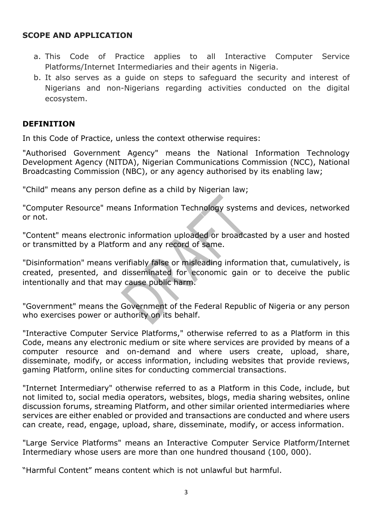#### **SCOPE AND APPLICATION**

- a. This Code of Practice applies to all Interactive Computer Service Platforms/Internet Intermediaries and their agents in Nigeria.
- b. It also serves as a guide on steps to safeguard the security and interest of Nigerians and non-Nigerians regarding activities conducted on the digital ecosystem.

#### **DEFINITION**

In this Code of Practice, unless the context otherwise requires:

"Authorised Government Agency" means the National Information Technology Development Agency (NITDA), Nigerian Communications Commission (NCC), National Broadcasting Commission (NBC), or any agency authorised by its enabling law;

"Child" means any person define as a child by Nigerian law;

"Computer Resource" means Information Technology systems and devices, networked or not.

"Content" means electronic information uploaded or broadcasted by a user and hosted or transmitted by a Platform and any record of same.

"Disinformation" means verifiably false or misleading information that, cumulatively, is created, presented, and disseminated for economic gain or to deceive the public intentionally and that may cause public harm.

"Government" means the Government of the Federal Republic of Nigeria or any person who exercises power or authority on its behalf.

"Interactive Computer Service Platforms," otherwise referred to as a Platform in this Code, means any electronic medium or site where services are provided by means of a computer resource and on-demand and where users create, upload, share, disseminate, modify, or access information, including websites that provide reviews, gaming Platform, online sites for conducting commercial transactions.

"Internet Intermediary" otherwise referred to as a Platform in this Code, include, but not limited to, social media operators, websites, blogs, media sharing websites, online discussion forums, streaming Platform, and other similar oriented intermediaries where services are either enabled or provided and transactions are conducted and where users can create, read, engage, upload, share, disseminate, modify, or access information.

"Large Service Platforms" means an Interactive Computer Service Platform/Internet Intermediary whose users are more than one hundred thousand (100, 000).

"Harmful Content" means content which is not unlawful but harmful.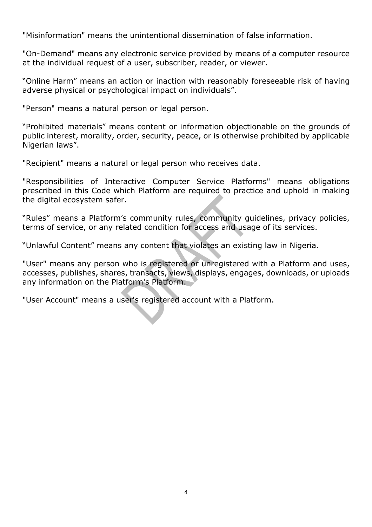"Misinformation" means the unintentional dissemination of false information.

"On-Demand" means any electronic service provided by means of a computer resource at the individual request of a user, subscriber, reader, or viewer.

"Online Harm" means an action or inaction with reasonably foreseeable risk of having adverse physical or psychological impact on individuals".

"Person" means a natural person or legal person.

"Prohibited materials" means content or information objectionable on the grounds of public interest, morality, order, security, peace, or is otherwise prohibited by applicable Nigerian laws".

"Recipient" means a natural or legal person who receives data.

"Responsibilities of Interactive Computer Service Platforms" means obligations prescribed in this Code which Platform are required to practice and uphold in making the digital ecosystem safer.

"Rules" means a Platform's community rules, community guidelines, privacy policies, terms of service, or any related condition for access and usage of its services.

"Unlawful Content" means any content that violates an existing law in Nigeria.

"User" means any person who is registered or unregistered with a Platform and uses, accesses, publishes, shares, transacts, views, displays, engages, downloads, or uploads any information on the Platform's Platform.

"User Account" means a user's registered account with a Platform.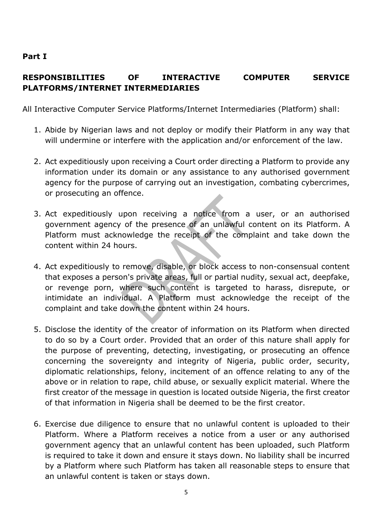## **Part I**

### **RESPONSIBILITIES OF INTERACTIVE COMPUTER SERVICE PLATFORMS/INTERNET INTERMEDIARIES**

All Interactive Computer Service Platforms/Internet Intermediaries (Platform) shall:

- 1. Abide by Nigerian laws and not deploy or modify their Platform in any way that will undermine or interfere with the application and/or enforcement of the law.
- 2. Act expeditiously upon receiving a Court order directing a Platform to provide any information under its domain or any assistance to any authorised government agency for the purpose of carrying out an investigation, combating cybercrimes, or prosecuting an offence.
- 3. Act expeditiously upon receiving a notice from a user, or an authorised government agency of the presence of an unlawful content on its Platform. A Platform must acknowledge the receipt of the complaint and take down the content within 24 hours.
- 4. Act expeditiously to remove, disable, or block access to non-consensual content that exposes a person's private areas, full or partial nudity, sexual act, deepfake, or revenge porn, where such content is targeted to harass, disrepute, or intimidate an individual. A Platform must acknowledge the receipt of the complaint and take down the content within 24 hours.
- 5. Disclose the identity of the creator of information on its Platform when directed to do so by a Court order. Provided that an order of this nature shall apply for the purpose of preventing, detecting, investigating, or prosecuting an offence concerning the sovereignty and integrity of Nigeria, public order, security, diplomatic relationships, felony, incitement of an offence relating to any of the above or in relation to rape, child abuse, or sexually explicit material. Where the first creator of the message in question is located outside Nigeria, the first creator of that information in Nigeria shall be deemed to be the first creator.
- 6. Exercise due diligence to ensure that no unlawful content is uploaded to their Platform. Where a Platform receives a notice from a user or any authorised government agency that an unlawful content has been uploaded, such Platform is required to take it down and ensure it stays down. No liability shall be incurred by a Platform where such Platform has taken all reasonable steps to ensure that an unlawful content is taken or stays down.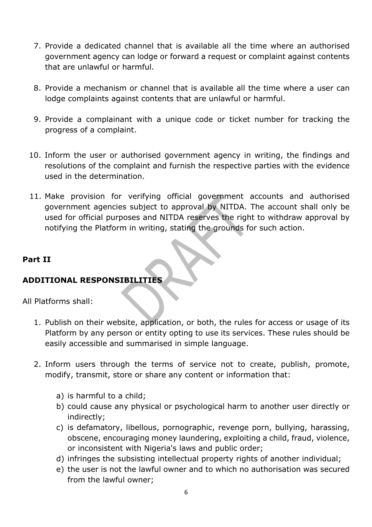- 7. Provide a dedicated channel that is available all the time where an authorised government agency can lodge or forward a request or complaint against contents that are unlawful or harmful.
- 8. Provide a mechanism or channel that is available all the time where a user can lodge complaints against contents that are unlawful or harmful.
- 9. Provide a complainant with a unique code or ticket number for tracking the progress of a complaint.
- 10. Inform the user or authorised government agency in writing, the findings and resolutions of the complaint and furnish the respective parties with the evidence used in the determination.
- 11. Make provision for verifying official government accounts and authorised government agencies subject to approval by NITDA. The account shall only be used for official purposes and NITDA reserves the right to withdraw approval by notifying the Platform in writing, stating the grounds for such action.

## **Part II**

## **ADDITIONAL RESPONSIBILITIES**

All Platforms shall:

- 1. Publish on their website, application, or both, the rules for access or usage of its Platform by any person or entity opting to use its services. These rules should be easily accessible and summarised in simple language.
- 2. Inform users through the terms of service not to create, publish, promote, modify, transmit, store or share any content or information that:
	- a) is harmful to a child;
	- b) could cause any physical or psychological harm to another user directly or indirectly;
	- c) is defamatory, libellous, pornographic, revenge porn, bullying, harassing, obscene, encouraging money laundering, exploiting a child, fraud, violence, or inconsistent with Nigeria's laws and public order;
	- d) infringes the subsisting intellectual property rights of another individual;
	- e) the user is not the lawful owner and to which no authorisation was secured from the lawful owner;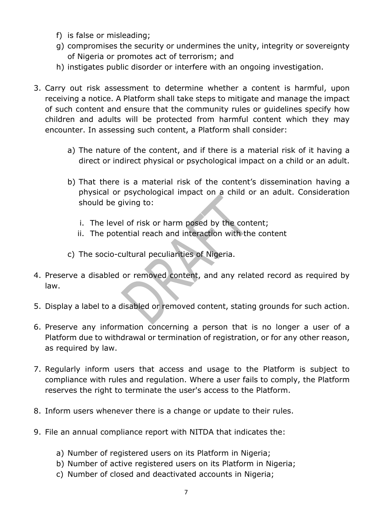- f) is false or misleading;
- g) compromises the security or undermines the unity, integrity or sovereignty of Nigeria or promotes act of terrorism; and
- h) instigates public disorder or interfere with an ongoing investigation.
- 3. Carry out risk assessment to determine whether a content is harmful, upon receiving a notice. A Platform shall take steps to mitigate and manage the impact of such content and ensure that the community rules or guidelines specify how children and adults will be protected from harmful content which they may encounter. In assessing such content, a Platform shall consider:
	- a) The nature of the content, and if there is a material risk of it having a direct or indirect physical or psychological impact on a child or an adult.
	- b) That there is a material risk of the content's dissemination having a physical or psychological impact on a child or an adult. Consideration should be giving to:
		- i. The level of risk or harm posed by the content;
		- ii. The potential reach and interaction with the content
	- c) The socio-cultural peculiarities of Nigeria.
- 4. Preserve a disabled or removed content, and any related record as required by law.
- 5. Display a label to a disabled or removed content, stating grounds for such action.
- 6. Preserve any information concerning a person that is no longer a user of a Platform due to withdrawal or termination of registration, or for any other reason, as required by law.
- 7. Regularly inform users that access and usage to the Platform is subject to compliance with rules and regulation. Where a user fails to comply, the Platform reserves the right to terminate the user's access to the Platform.
- 8. Inform users whenever there is a change or update to their rules.
- 9. File an annual compliance report with NITDA that indicates the:
	- a) Number of registered users on its Platform in Nigeria;
	- b) Number of active registered users on its Platform in Nigeria;
	- c) Number of closed and deactivated accounts in Nigeria;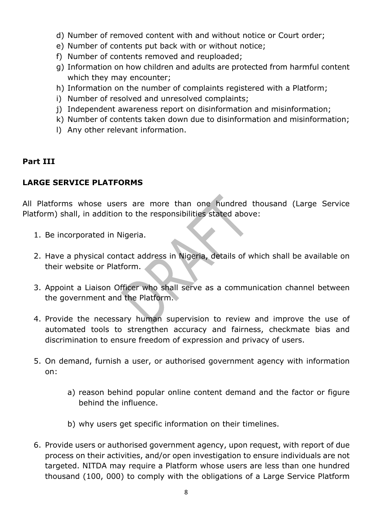- d) Number of removed content with and without notice or Court order;
- e) Number of contents put back with or without notice;
- f) Number of contents removed and reuploaded;
- g) Information on how children and adults are protected from harmful content which they may encounter;
- h) Information on the number of complaints registered with a Platform;
- i) Number of resolved and unresolved complaints;
- j) Independent awareness report on disinformation and misinformation;
- k) Number of contents taken down due to disinformation and misinformation;
- l) Any other relevant information.

#### **Part III**

#### **LARGE SERVICE PLATFORMS**

All Platforms whose users are more than one hundred thousand (Large Service Platform) shall, in addition to the responsibilities stated above:

- 1. Be incorporated in Nigeria.
- 2. Have a physical contact address in Nigeria, details of which shall be available on their website or Platform.
- 3. Appoint a Liaison Officer who shall serve as a communication channel between the government and the Platform.
- 4. Provide the necessary human supervision to review and improve the use of automated tools to strengthen accuracy and fairness, checkmate bias and discrimination to ensure freedom of expression and privacy of users.
- 5. On demand, furnish a user, or authorised government agency with information on:
	- a) reason behind popular online content demand and the factor or figure behind the influence.
	- b) why users get specific information on their timelines.
- 6. Provide users or authorised government agency, upon request, with report of due process on their activities, and/or open investigation to ensure individuals are not targeted. NITDA may require a Platform whose users are less than one hundred thousand (100, 000) to comply with the obligations of a Large Service Platform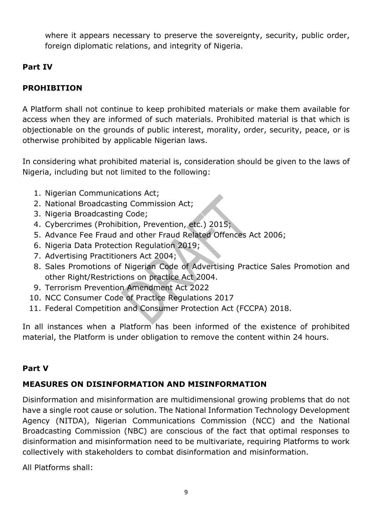where it appears necessary to preserve the sovereignty, security, public order, foreign diplomatic relations, and integrity of Nigeria.

# **Part IV**

# **PROHIBITION**

A Platform shall not continue to keep prohibited materials or make them available for access when they are informed of such materials. Prohibited material is that which is objectionable on the grounds of public interest, morality, order, security, peace, or is otherwise prohibited by applicable Nigerian laws.

In considering what prohibited material is, consideration should be given to the laws of Nigeria, including but not limited to the following:

- 1. Nigerian Communications Act;
- 2. National Broadcasting Commission Act;
- 3. Nigeria Broadcasting Code;
- 4. Cybercrimes (Prohibition, Prevention, etc.) 2015;
- 5. Advance Fee Fraud and other Fraud Related Offences Act 2006;
- 6. Nigeria Data Protection Regulation 2019;
- 7. Advertising Practitioners Act 2004;
- 8. Sales Promotions of Nigerian Code of Advertising Practice Sales Promotion and other Right/Restrictions on practice Act 2004.
- 9. Terrorism Prevention Amendment Act 2022
- 10. NCC Consumer Code of Practice Regulations 2017
- 11. Federal Competition and Consumer Protection Act (FCCPA) 2018.

In all instances when a Platform has been informed of the existence of prohibited material, the Platform is under obligation to remove the content within 24 hours.

## **Part V**

## **MEASURES ON DISINFORMATION AND MISINFORMATION**

Disinformation and misinformation are multidimensional growing problems that do not have a single root cause or solution. The National Information Technology Development Agency (NITDA), Nigerian Communications Commission (NCC) and the National Broadcasting Commission (NBC) are conscious of the fact that optimal responses to disinformation and misinformation need to be multivariate, requiring Platforms to work collectively with stakeholders to combat disinformation and misinformation.

All Platforms shall: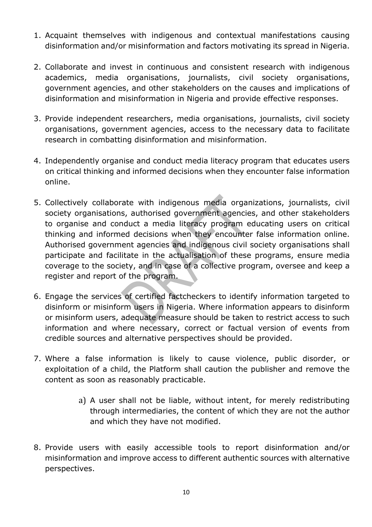- 1. Acquaint themselves with indigenous and contextual manifestations causing disinformation and/or misinformation and factors motivating its spread in Nigeria.
- 2. Collaborate and invest in continuous and consistent research with indigenous academics, media organisations, journalists, civil society organisations, government agencies, and other stakeholders on the causes and implications of disinformation and misinformation in Nigeria and provide effective responses.
- 3. Provide independent researchers, media organisations, journalists, civil society organisations, government agencies, access to the necessary data to facilitate research in combatting disinformation and misinformation.
- 4. Independently organise and conduct media literacy program that educates users on critical thinking and informed decisions when they encounter false information online.
- 5. Collectively collaborate with indigenous media organizations, journalists, civil society organisations, authorised government agencies, and other stakeholders to organise and conduct a media literacy program educating users on critical thinking and informed decisions when they encounter false information online. Authorised government agencies and indigenous civil society organisations shall participate and facilitate in the actualisation of these programs, ensure media coverage to the society, and in case of a collective program, oversee and keep a register and report of the program.
- 6. Engage the services of certified factcheckers to identify information targeted to disinform or misinform users in Nigeria. Where information appears to disinform or misinform users, adequate measure should be taken to restrict access to such information and where necessary, correct or factual version of events from credible sources and alternative perspectives should be provided.
- 7. Where a false information is likely to cause violence, public disorder, or exploitation of a child, the Platform shall caution the publisher and remove the content as soon as reasonably practicable.
	- a) A user shall not be liable, without intent, for merely redistributing through intermediaries, the content of which they are not the author and which they have not modified.
- 8. Provide users with easily accessible tools to report disinformation and/or misinformation and improve access to different authentic sources with alternative perspectives.